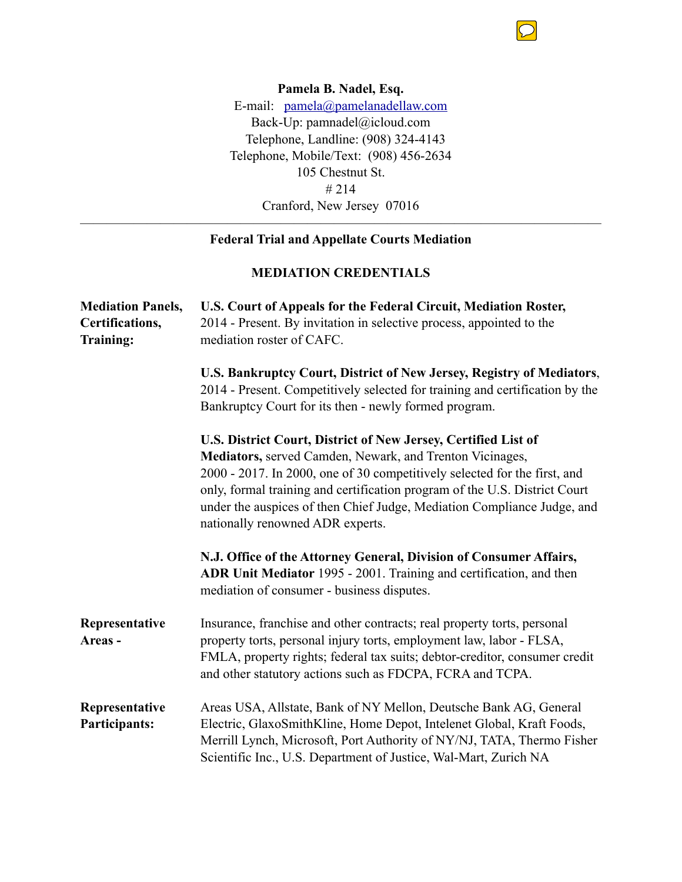

**Pamela B. Nadel, Esq.**  E-mail: [pamela@pamelanadellaw.com](mailto:pamela@pamelanadellaw.com) Back-Up: pamnadel@icloud.com Telephone, Landline: (908) 324-4143 Telephone, Mobile/Text: (908) 456-2634 105 Chestnut St. # 214 Cranford, New Jersey 07016

## $\overline{\phantom{a}}$  , and the contract of the contract of  $\overline{\phantom{a}}$ **Federal Trial and Appellate Courts Mediation**

## **MEDIATION CREDENTIALS**

| <b>Mediation Panels,</b><br>Certifications,<br><b>Training:</b> | U.S. Court of Appeals for the Federal Circuit, Mediation Roster,<br>2014 - Present. By invitation in selective process, appointed to the<br>mediation roster of CAFC.                                                                                                                                                                                                                                |
|-----------------------------------------------------------------|------------------------------------------------------------------------------------------------------------------------------------------------------------------------------------------------------------------------------------------------------------------------------------------------------------------------------------------------------------------------------------------------------|
|                                                                 | U.S. Bankruptcy Court, District of New Jersey, Registry of Mediators,<br>2014 - Present. Competitively selected for training and certification by the<br>Bankruptcy Court for its then - newly formed program.                                                                                                                                                                                       |
|                                                                 | U.S. District Court, District of New Jersey, Certified List of<br>Mediators, served Camden, Newark, and Trenton Vicinages,<br>2000 - 2017. In 2000, one of 30 competitively selected for the first, and<br>only, formal training and certification program of the U.S. District Court<br>under the auspices of then Chief Judge, Mediation Compliance Judge, and<br>nationally renowned ADR experts. |
|                                                                 | N.J. Office of the Attorney General, Division of Consumer Affairs,<br>ADR Unit Mediator 1995 - 2001. Training and certification, and then<br>mediation of consumer - business disputes.                                                                                                                                                                                                              |
| Representative<br>Areas-                                        | Insurance, franchise and other contracts; real property torts, personal<br>property torts, personal injury torts, employment law, labor - FLSA,<br>FMLA, property rights; federal tax suits; debtor-creditor, consumer credit<br>and other statutory actions such as FDCPA, FCRA and TCPA.                                                                                                           |
| Representative<br><b>Participants:</b>                          | Areas USA, Allstate, Bank of NY Mellon, Deutsche Bank AG, General<br>Electric, GlaxoSmithKline, Home Depot, Intelenet Global, Kraft Foods,<br>Merrill Lynch, Microsoft, Port Authority of NY/NJ, TATA, Thermo Fisher<br>Scientific Inc., U.S. Department of Justice, Wal-Mart, Zurich NA                                                                                                             |